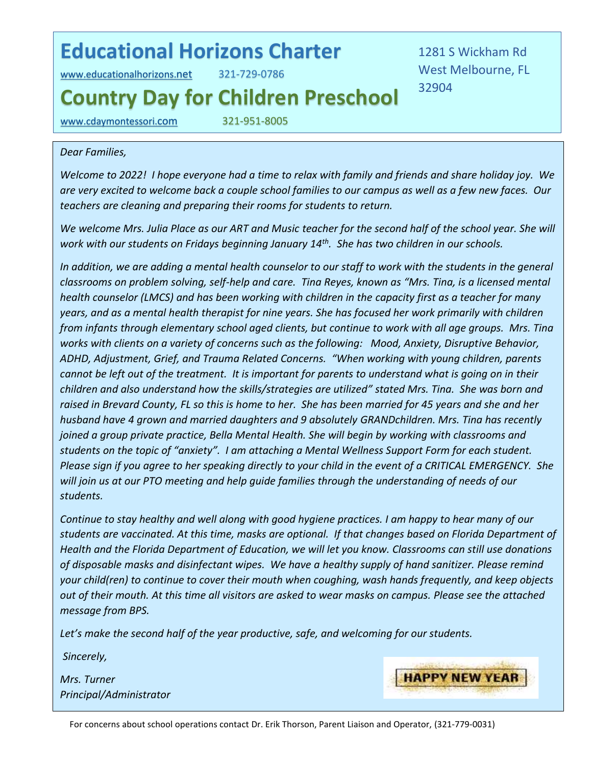## **Educational Horizons Charter**

[www.educationalhorizons.](http://www.educationalhorizons.net/)net 321-729-0786

1281 S Wickham Rd West Melbourne, FL 32904

## **Country Day for Children Preschool**

[www.cdaymontessori.](http://www.cdaymontessori.com/)com 321-951-8005

## *Dear Families,*

*Welcome to 2022! I hope everyone had a time to relax with family and friends and share holiday joy. We are very excited to welcome back a couple school families to our campus as well as a few new faces. Our teachers are cleaning and preparing their rooms for students to return.* 

*We welcome Mrs. Julia Place as our ART and Music teacher for the second half of the school year. She will work with our students on Fridays beginning January 14th . She has two children in our schools.* 

*In addition, we are adding a mental health counselor to our staff to work with the students in the general classrooms on problem solving, self-help and care. Tina Reyes, known as "Mrs. Tina, is a licensed mental health counselor (LMCS) and has been working with children in the capacity first as a teacher for many years, and as a mental health therapist for nine years. She has focused her work primarily with children from infants through elementary school aged clients, but continue to work with all age groups. Mrs. Tina works with clients on a variety of concerns such as the following: Mood, Anxiety, Disruptive Behavior, ADHD, Adjustment, Grief, and Trauma Related Concerns. "When working with young children, parents cannot be left out of the treatment. It is important for parents to understand what is going on in their children and also understand how the skills/strategies are utilized" stated Mrs. Tina. She was born and raised in Brevard County, FL so this is home to her. She has been married for 45 years and she and her husband have 4 grown and married daughters and 9 absolutely GRANDchildren. Mrs. Tina has recently joined a group private practice, Bella Mental Health. She will begin by working with classrooms and students on the topic of "anxiety". I am attaching a Mental Wellness Support Form for each student. Please sign if you agree to her speaking directly to your child in the event of a CRITICAL EMERGENCY. She will join us at our PTO meeting and help guide families through the understanding of needs of our students.* 

*Continue to stay healthy and well along with good hygiene practices. I am happy to hear many of our students are vaccinated. At this time, masks are optional. If that changes based on Florida Department of Health and the Florida Department of Education, we will let you know. Classrooms can still use donations of disposable masks and disinfectant wipes. We have a healthy supply of hand sanitizer. Please remind your child(ren) to continue to cover their mouth when coughing, wash hands frequently, and keep objects out of their mouth. At this time all visitors are asked to wear masks on campus. Please see the attached message from BPS.* 

*Let's make the second half of the year productive, safe, and welcoming for our students.* 

*Sincerely,*

*Mrs. Turner Principal/Administrator*